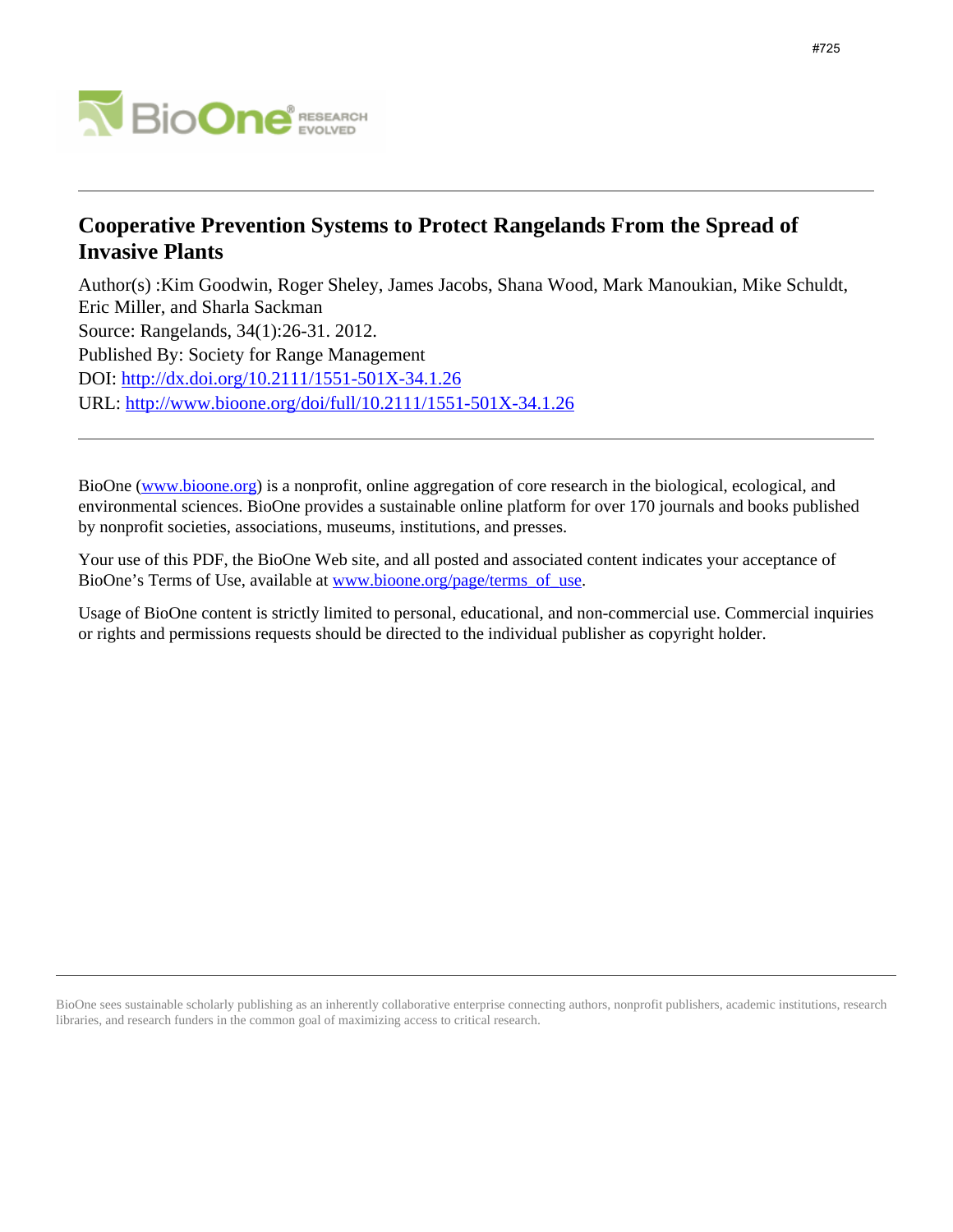

# **Cooperative Prevention Systems to Protect Rangelands From the Spread of Invasive Plants**

Author(s) :Kim Goodwin, Roger Sheley, James Jacobs, Shana Wood, Mark Manoukian, Mike Schuldt, Eric Miller, and Sharla Sackman Source: Rangelands, 34(1):26-31. 2012. Published By: Society for Range Management DOI:<http://dx.doi.org/10.2111/1551-501X-34.1.26> URL: <http://www.bioone.org/doi/full/10.2111/1551-501X-34.1.26>

BioOne [\(www.bioone.org\)](http://www.bioone.org) is a nonprofit, online aggregation of core research in the biological, ecological, and environmental sciences. BioOne provides a sustainable online platform for over 170 journals and books published by nonprofit societies, associations, museums, institutions, and presses.

Your use of this PDF, the BioOne Web site, and all posted and associated content indicates your acceptance of BioOne's Terms of Use, available at [www.bioone.org/page/terms\\_of\\_use.](http://www.bioone.org/page/terms_of_use)

Usage of BioOne content is strictly limited to personal, educational, and non-commercial use. Commercial inquiries or rights and permissions requests should be directed to the individual publisher as copyright holder.

BioOne sees sustainable scholarly publishing as an inherently collaborative enterprise connecting authors, nonprofit publishers, academic institutions, research libraries, and research funders in the common goal of maximizing access to critical research.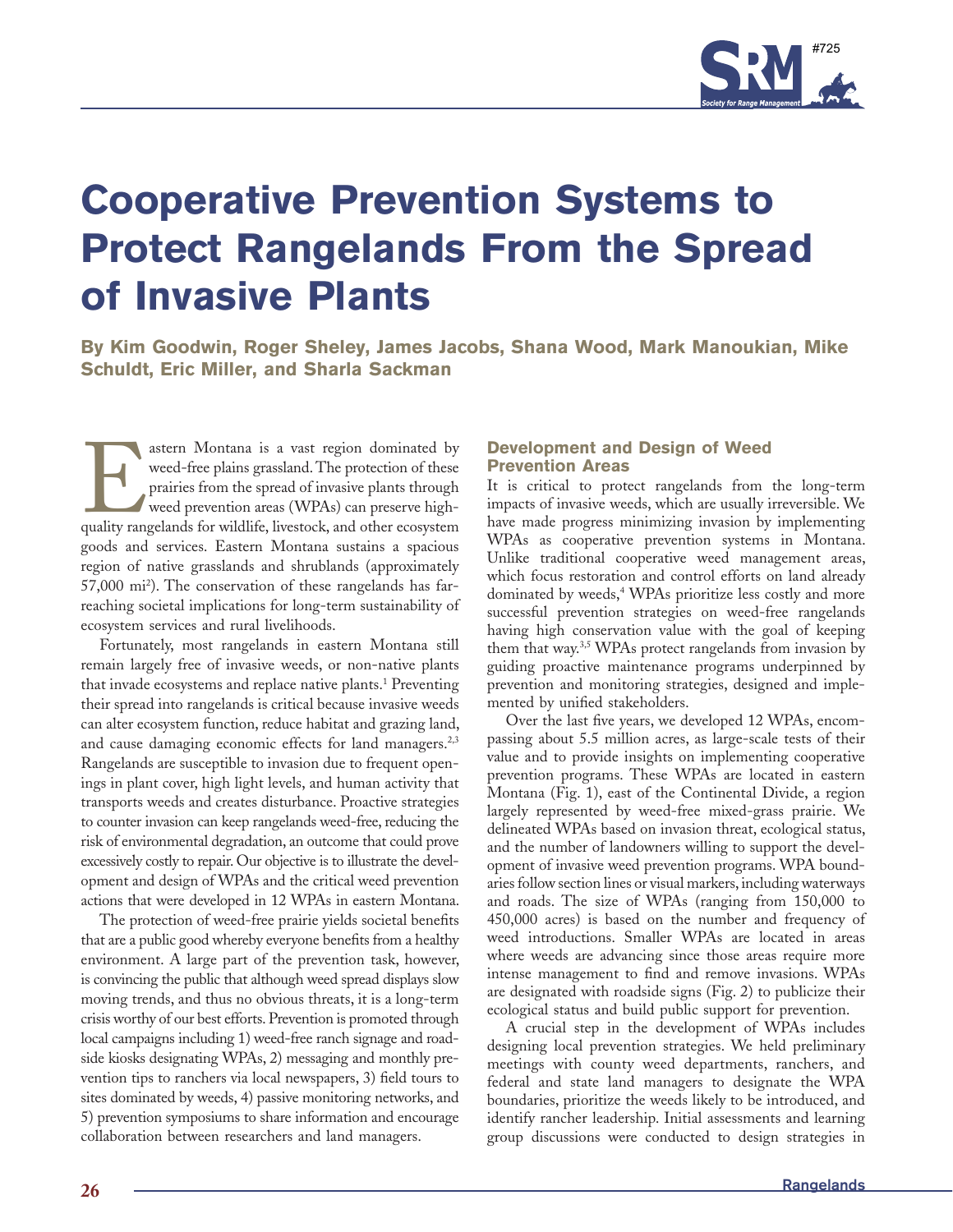

# **Cooperative Prevention Systems to Protect Rangelands From the Spread of Invasive Plants**

**By Kim Goodwin, Roger Sheley, James Jacobs, Shana Wood, Mark Manoukian, Mike Schuldt, Eric Miller, and Sharla Sackman**

astern Montana is a vast region dominated by weed-free plains grassland. The protection of these prairies from the spread of invasive plants through weed prevention areas (WPAs) can preserve high-quality rangelands for wil weed-free plains grassland. The protection of these prairies from the spread of invasive plants through weed prevention areas (WPAs) can preserve highgoods and services. Eastern Montana sustains a spacious region of native grasslands and shrublands (approximately 57,000 mi2 ). The conservation of these rangelands has farreaching societal implications for long-term sustainability of ecosystem services and rural livelihoods.

Fortunately, most rangelands in eastern Montana still remain largely free of invasive weeds, or non-native plants that invade ecosystems and replace native plants.<sup>1</sup> Preventing their spread into rangelands is critical because invasive weeds can alter ecosystem function, reduce habitat and grazing land, and cause damaging economic effects for land managers.<sup>2,3</sup> Rangelands are susceptible to invasion due to frequent openings in plant cover, high light levels, and human activity that transports weeds and creates disturbance. Proactive strategies to counter invasion can keep rangelands weed-free, reducing the risk of environmental degradation, an outcome that could prove excessively costly to repair. Our objective is to illustrate the development and design of WPAs and the critical weed prevention actions that were developed in 12 WPAs in eastern Montana.

The protection of weed-free prairie yields societal benefits that are a public good whereby everyone benefits from a healthy environment. A large part of the prevention task, however, is convincing the public that although weed spread displays slow moving trends, and thus no obvious threats, it is a long-term crisis worthy of our best efforts. Prevention is promoted through local campaigns including 1) weed-free ranch signage and roadside kiosks designating WPAs, 2) messaging and monthly prevention tips to ranchers via local newspapers, 3) field tours to sites dominated by weeds, 4) passive monitoring networks, and 5) prevention symposiums to share information and encourage collaboration between researchers and land managers.

# **Development and Design of Weed Prevention Areas**

It is critical to protect rangelands from the long-term impacts of invasive weeds, which are usually irreversible. We have made progress minimizing invasion by implementing WPAs as cooperative prevention systems in Montana. Unlike traditional cooperative weed management areas, which focus restoration and control efforts on land already dominated by weeds,<sup>4</sup> WPAs prioritize less costly and more successful prevention strategies on weed-free rangelands having high conservation value with the goal of keeping them that way.<sup>3,5</sup> WPAs protect rangelands from invasion by guiding proactive maintenance programs underpinned by prevention and monitoring strategies, designed and implemented by unified stakeholders.

Over the last five years, we developed 12 WPAs, encompassing about 5.5 million acres, as large-scale tests of their value and to provide insights on implementing cooperative prevention programs. These WPAs are located in eastern Montana (Fig. 1), east of the Continental Divide, a region largely represented by weed-free mixed-grass prairie. We delineated WPAs based on invasion threat, ecological status, and the number of landowners willing to support the development of invasive weed prevention programs. WPA boundaries follow section lines or visual markers, including waterways and roads. The size of WPAs (ranging from 150,000 to 450,000 acres) is based on the number and frequency of weed introductions. Smaller WPAs are located in areas where weeds are advancing since those areas require more intense management to find and remove invasions. WPAs are designated with roadside signs (Fig. 2) to publicize their ecological status and build public support for prevention.

A crucial step in the development of WPAs includes designing local prevention strategies. We held preliminary meetings with county weed departments, ranchers, and federal and state land managers to designate the WPA boundaries, prioritize the weeds likely to be introduced, and identify rancher leadership. Initial assessments and learning group discussions were conducted to design strategies in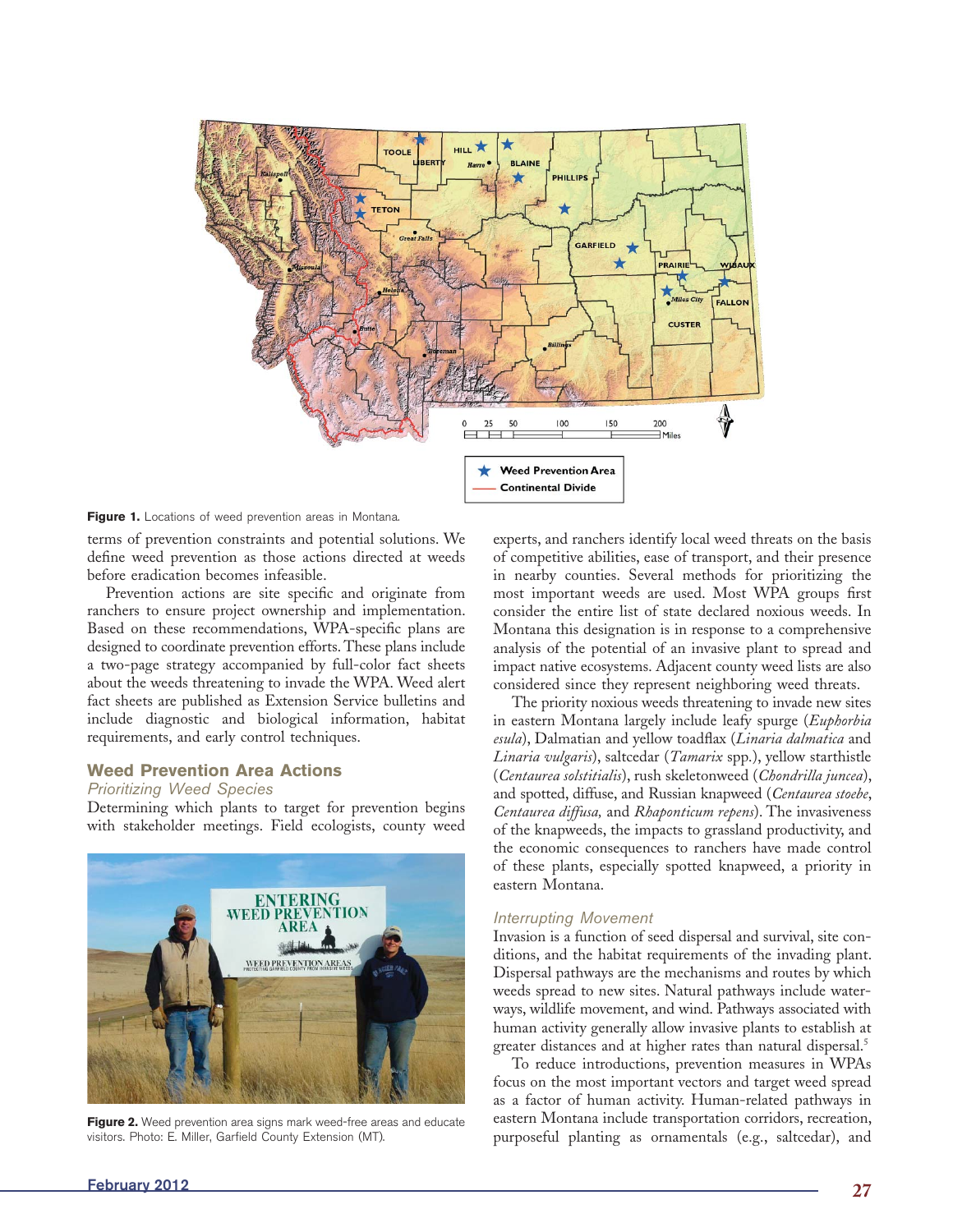

Figure 1. Locations of weed prevention areas in Montana.

terms of prevention constraints and potential solutions. We define weed prevention as those actions directed at weeds before eradication becomes infeasible.

Prevention actions are site specific and originate from ranchers to ensure project ownership and implementation. Based on these recommendations, WPA-specific plans are designed to coordinate prevention efforts. These plans include a two-page strategy accompanied by full-color fact sheets about the weeds threatening to invade the WPA. Weed alert fact sheets are published as Extension Service bulletins and include diagnostic and biological information, habitat requirements, and early control techniques.

# **Weed Prevention Area Actions**

## *Prioritizing Weed Species*

Determining which plants to target for prevention begins with stakeholder meetings. Field ecologists, county weed



**Figure 2.** Weed prevention area signs mark weed-free areas and educate visitors. Photo: E. Miller, Garfield County Extension (MT).

experts, and ranchers identify local weed threats on the basis of competitive abilities, ease of transport, and their presence in nearby counties. Several methods for prioritizing the most important weeds are used. Most WPA groups first consider the entire list of state declared noxious weeds. In Montana this designation is in response to a comprehensive analysis of the potential of an invasive plant to spread and impact native ecosystems. Adjacent county weed lists are also considered since they represent neighboring weed threats.

The priority noxious weeds threatening to invade new sites in eastern Montana largely include leafy spurge (*Euphorbia*  esula), Dalmatian and yellow toadflax (*Linaria dalmatica* and *Linaria vulgaris*), saltcedar (*Tamarix* spp.), yellow starthistle (*Centaurea solstitialis*), rush skeletonweed (*Chondrilla juncea*), and spotted, diffuse, and Russian knapweed (*Centaurea stoebe*, *Centaurea diffusa,* and *Rhaponticum repens*). The invasiveness of the knapweeds, the impacts to grassland productivity, and the economic consequences to ranchers have made control of these plants, especially spotted knapweed, a priority in eastern Montana.

#### *Interrupting Movement*

Invasion is a function of seed dispersal and survival, site conditions, and the habitat requirements of the invading plant. Dispersal pathways are the mechanisms and routes by which weeds spread to new sites. Natural pathways include waterways, wildlife movement, and wind. Pathways associated with human activity generally allow invasive plants to establish at greater distances and at higher rates than natural dispersal.<sup>5</sup>

To reduce introductions, prevention measures in WPAs focus on the most important vectors and target weed spread as a factor of human activity. Human-related pathways in eastern Montana include transportation corridors, recreation, purposeful planting as ornamentals (e.g., saltcedar), and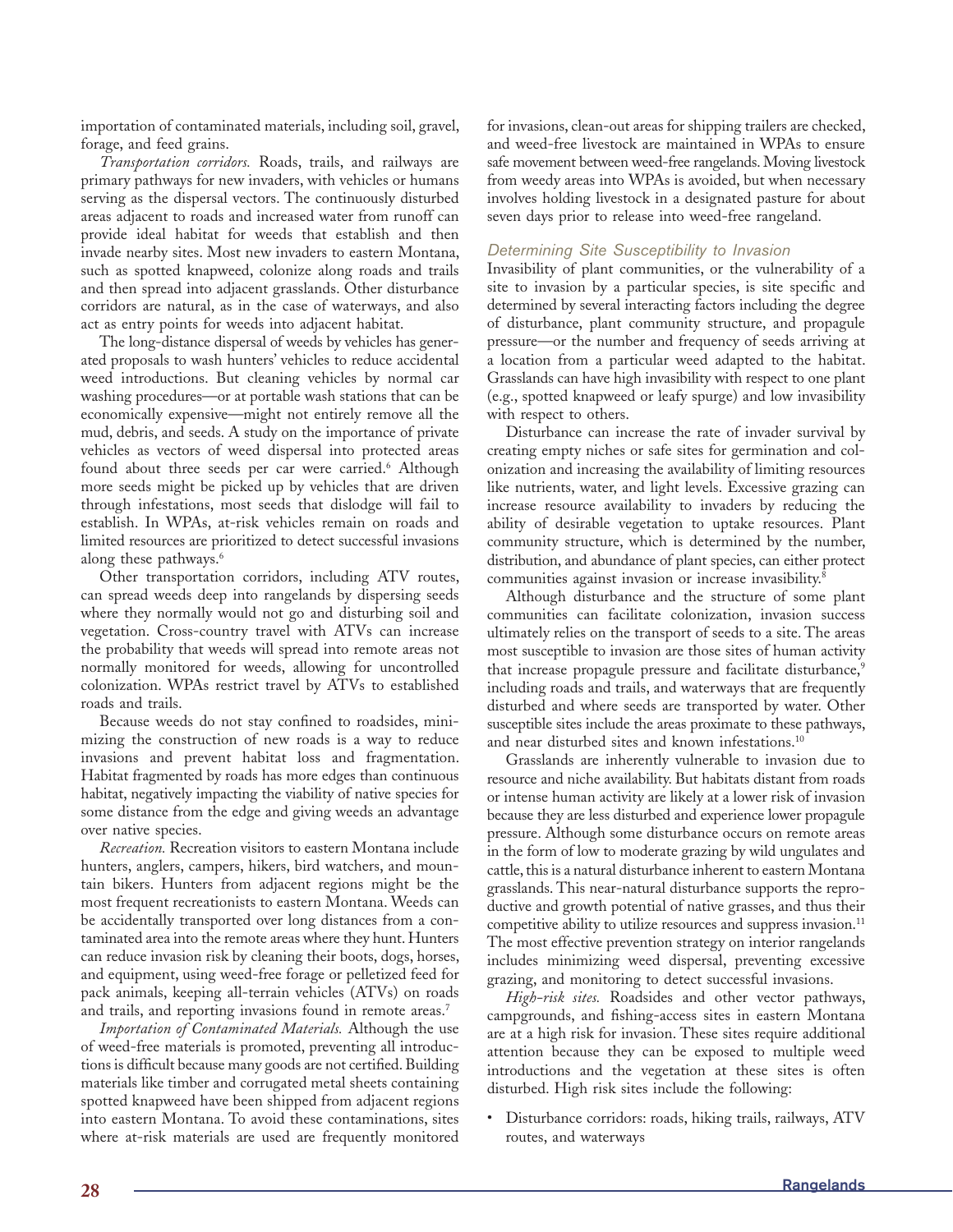importation of contaminated materials, including soil, gravel, forage, and feed grains.

*Transportation corridors.* Roads, trails, and railways are primary pathways for new invaders, with vehicles or humans serving as the dispersal vectors. The continuously disturbed areas adjacent to roads and increased water from runoff can provide ideal habitat for weeds that establish and then invade nearby sites. Most new invaders to eastern Montana, such as spotted knapweed, colonize along roads and trails and then spread into adjacent grasslands. Other disturbance corridors are natural, as in the case of waterways, and also act as entry points for weeds into adjacent habitat.

The long-distance dispersal of weeds by vehicles has generated proposals to wash hunters' vehicles to reduce accidental weed introductions. But cleaning vehicles by normal car washing procedures—or at portable wash stations that can be economically expensive—might not entirely remove all the mud, debris, and seeds. A study on the importance of private vehicles as vectors of weed dispersal into protected areas found about three seeds per car were carried.<sup>6</sup> Although more seeds might be picked up by vehicles that are driven through infestations, most seeds that dislodge will fail to establish. In WPAs, at-risk vehicles remain on roads and limited resources are prioritized to detect successful invasions along these pathways.<sup>6</sup>

Other transportation corridors, including ATV routes, can spread weeds deep into rangelands by dispersing seeds where they normally would not go and disturbing soil and vegetation. Cross-country travel with ATVs can increase the probability that weeds will spread into remote areas not normally monitored for weeds, allowing for uncontrolled colonization. WPAs restrict travel by ATVs to established roads and trails.

Because weeds do not stay confined to roadsides, minimizing the construction of new roads is a way to reduce invasions and prevent habitat loss and fragmentation. Habitat fragmented by roads has more edges than continuous habitat, negatively impacting the viability of native species for some distance from the edge and giving weeds an advantage over native species.

*Recreation.* Recreation visitors to eastern Montana include hunters, anglers, campers, hikers, bird watchers, and mountain bikers. Hunters from adjacent regions might be the most frequent recreationists to eastern Montana. Weeds can be accidentally transported over long distances from a contaminated area into the remote areas where they hunt. Hunters can reduce invasion risk by cleaning their boots, dogs, horses, and equipment, using weed-free forage or pelletized feed for pack animals, keeping all-terrain vehicles (ATVs) on roads and trails, and reporting invasions found in remote areas.<sup>7</sup>

*Importation of Contaminated Materials.* Although the use of weed-free materials is promoted, preventing all introductions is difficult because many goods are not certified. Building materials like timber and corrugated metal sheets containing spotted knapweed have been shipped from adjacent regions into eastern Montana. To avoid these contaminations, sites where at-risk materials are used are frequently monitored

for invasions, clean-out areas for shipping trailers are checked, and weed-free livestock are maintained in WPAs to ensure safe movement between weed-free rangelands. Moving livestock from weedy areas into WPAs is avoided, but when necessary involves holding livestock in a designated pasture for about seven days prior to release into weed-free rangeland.

#### *Determining Site Susceptibility to Invasion*

Invasibility of plant communities, or the vulnerability of a site to invasion by a particular species, is site specific and determined by several interacting factors including the degree of disturbance, plant community structure, and propagule pressure—or the number and frequency of seeds arriving at a location from a particular weed adapted to the habitat. Grasslands can have high invasibility with respect to one plant (e.g., spotted knapweed or leafy spurge) and low invasibility with respect to others.

Disturbance can increase the rate of invader survival by creating empty niches or safe sites for germination and colonization and increasing the availability of limiting resources like nutrients, water, and light levels. Excessive grazing can increase resource availability to invaders by reducing the ability of desirable vegetation to uptake resources. Plant community structure, which is determined by the number, distribution, and abundance of plant species, can either protect communities against invasion or increase invasibility.<sup>8</sup>

Although disturbance and the structure of some plant communities can facilitate colonization, invasion success ultimately relies on the transport of seeds to a site. The areas most susceptible to invasion are those sites of human activity that increase propagule pressure and facilitate disturbance,<sup>9</sup> including roads and trails, and waterways that are frequently disturbed and where seeds are transported by water. Other susceptible sites include the areas proximate to these pathways, and near disturbed sites and known infestations.10

Grasslands are inherently vulnerable to invasion due to resource and niche availability. But habitats distant from roads or intense human activity are likely at a lower risk of invasion because they are less disturbed and experience lower propagule pressure. Although some disturbance occurs on remote areas in the form of low to moderate grazing by wild ungulates and cattle, this is a natural disturbance inherent to eastern Montana grasslands. This near-natural disturbance supports the reproductive and growth potential of native grasses, and thus their competitive ability to utilize resources and suppress invasion.<sup>11</sup> The most effective prevention strategy on interior rangelands includes minimizing weed dispersal, preventing excessive grazing, and monitoring to detect successful invasions.

*High-risk sites.* Roadsides and other vector pathways, campgrounds, and fishing-access sites in eastern Montana are at a high risk for invasion. These sites require additional attention because they can be exposed to multiple weed introductions and the vegetation at these sites is often disturbed. High risk sites include the following:

• Disturbance corridors: roads, hiking trails, railways, ATV routes, and waterways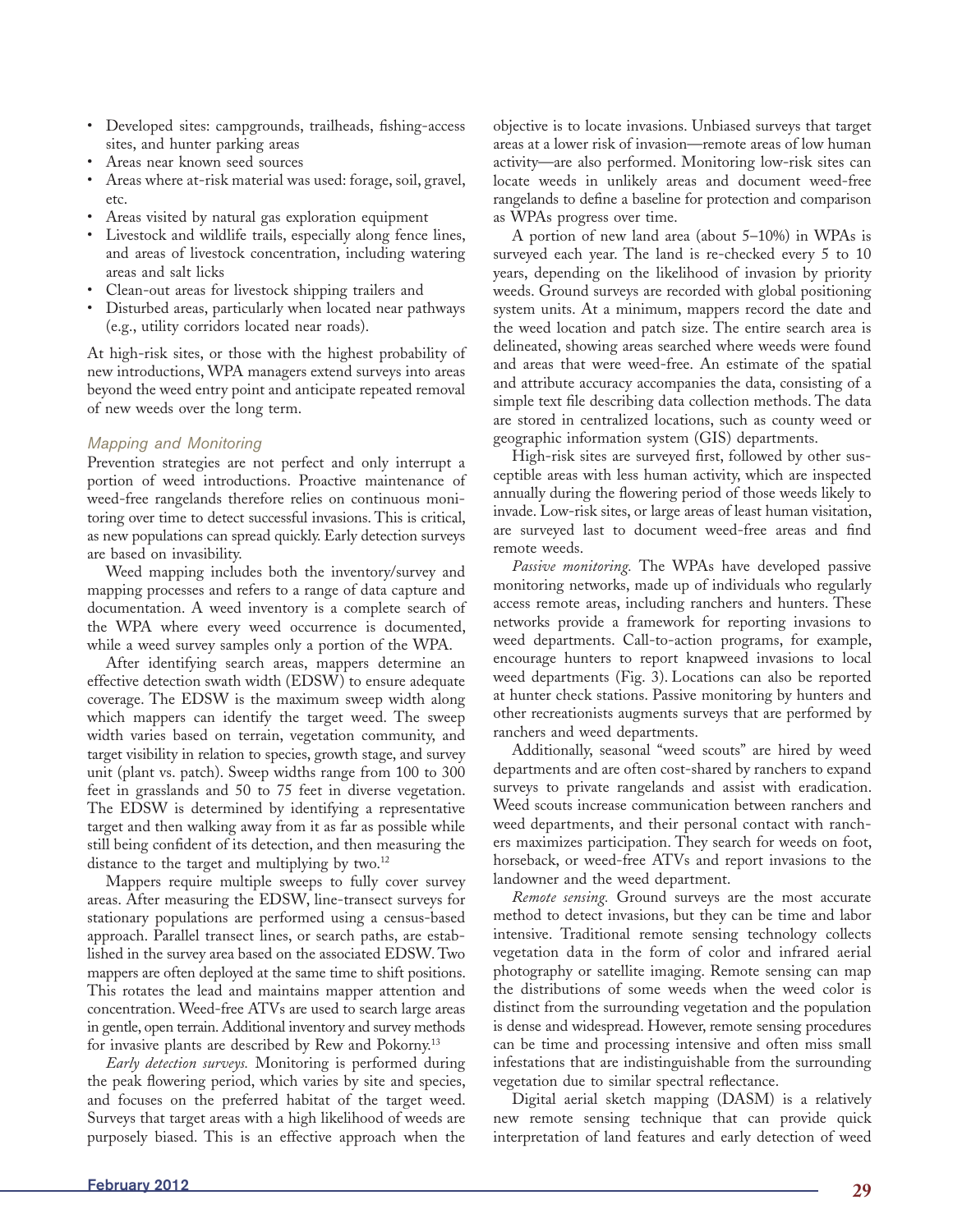- Developed sites: campgrounds, trailheads, fishing-access sites, and hunter parking areas
- Areas near known seed sources
- Areas where at-risk material was used: forage, soil, gravel, etc.
- Areas visited by natural gas exploration equipment
- Livestock and wildlife trails, especially along fence lines, and areas of livestock concentration, including watering areas and salt licks
- Clean-out areas for livestock shipping trailers and
- Disturbed areas, particularly when located near pathways (e.g., utility corridors located near roads).

At high-risk sites, or those with the highest probability of new introductions, WPA managers extend surveys into areas beyond the weed entry point and anticipate repeated removal of new weeds over the long term.

# *Mapping and Monitoring*

Prevention strategies are not perfect and only interrupt a portion of weed introductions. Proactive maintenance of weed-free rangelands therefore relies on continuous monitoring over time to detect successful invasions. This is critical, as new populations can spread quickly. Early detection surveys are based on invasibility.

Weed mapping includes both the inventory/survey and mapping processes and refers to a range of data capture and documentation. A weed inventory is a complete search of the WPA where every weed occurrence is documented, while a weed survey samples only a portion of the WPA.

After identifying search areas, mappers determine an effective detection swath width (EDSW) to ensure adequate coverage. The EDSW is the maximum sweep width along which mappers can identify the target weed. The sweep width varies based on terrain, vegetation community, and target visibility in relation to species, growth stage, and survey unit (plant vs. patch). Sweep widths range from 100 to 300 feet in grasslands and 50 to 75 feet in diverse vegetation. The EDSW is determined by identifying a representative target and then walking away from it as far as possible while still being confident of its detection, and then measuring the distance to the target and multiplying by two.<sup>12</sup>

Mappers require multiple sweeps to fully cover survey areas. After measuring the EDSW, line-transect surveys for stationary populations are performed using a census-based approach. Parallel transect lines, or search paths, are established in the survey area based on the associated EDSW. Two mappers are often deployed at the same time to shift positions. This rotates the lead and maintains mapper attention and concentration. Weed-free ATVs are used to search large areas in gentle, open terrain. Additional inventory and survey methods for invasive plants are described by Rew and Pokorny.13

*Early detection surveys.* Monitoring is performed during the peak flowering period, which varies by site and species, and focuses on the preferred habitat of the target weed. Surveys that target areas with a high likelihood of weeds are purposely biased. This is an effective approach when the

objective is to locate invasions. Unbiased surveys that target areas at a lower risk of invasion—remote areas of low human activity—are also performed. Monitoring low-risk sites can locate weeds in unlikely areas and document weed-free rangelands to define a baseline for protection and comparison as WPAs progress over time.

A portion of new land area (about 5–10%) in WPAs is surveyed each year. The land is re-checked every 5 to 10 years, depending on the likelihood of invasion by priority weeds. Ground surveys are recorded with global positioning system units. At a minimum, mappers record the date and the weed location and patch size. The entire search area is delineated, showing areas searched where weeds were found and areas that were weed-free. An estimate of the spatial and attribute accuracy accompanies the data, consisting of a simple text file describing data collection methods. The data are stored in centralized locations, such as county weed or geographic information system (GIS) departments.

High-risk sites are surveyed first, followed by other susceptible areas with less human activity, which are inspected annually during the flowering period of those weeds likely to invade. Low-risk sites, or large areas of least human visitation, are surveyed last to document weed-free areas and find remote weeds.

*Passive monitoring.* The WPAs have developed passive monitoring networks, made up of individuals who regularly access remote areas, including ranchers and hunters. These networks provide a framework for reporting invasions to weed departments. Call-to-action programs, for example, encourage hunters to report knapweed invasions to local weed departments (Fig. 3). Locations can also be reported at hunter check stations. Passive monitoring by hunters and other recreationists augments surveys that are performed by ranchers and weed departments.

Additionally, seasonal "weed scouts" are hired by weed departments and are often cost-shared by ranchers to expand surveys to private rangelands and assist with eradication. Weed scouts increase communication between ranchers and weed departments, and their personal contact with ranchers maximizes participation. They search for weeds on foot, horseback, or weed-free ATVs and report invasions to the landowner and the weed department.

*Remote sensing.* Ground surveys are the most accurate method to detect invasions, but they can be time and labor intensive. Traditional remote sensing technology collects vegetation data in the form of color and infrared aerial photography or satellite imaging. Remote sensing can map the distributions of some weeds when the weed color is distinct from the surrounding vegetation and the population is dense and widespread. However, remote sensing procedures can be time and processing intensive and often miss small infestations that are indistinguishable from the surrounding vegetation due to similar spectral reflectance.

Digital aerial sketch mapping (DASM) is a relatively new remote sensing technique that can provide quick interpretation of land features and early detection of weed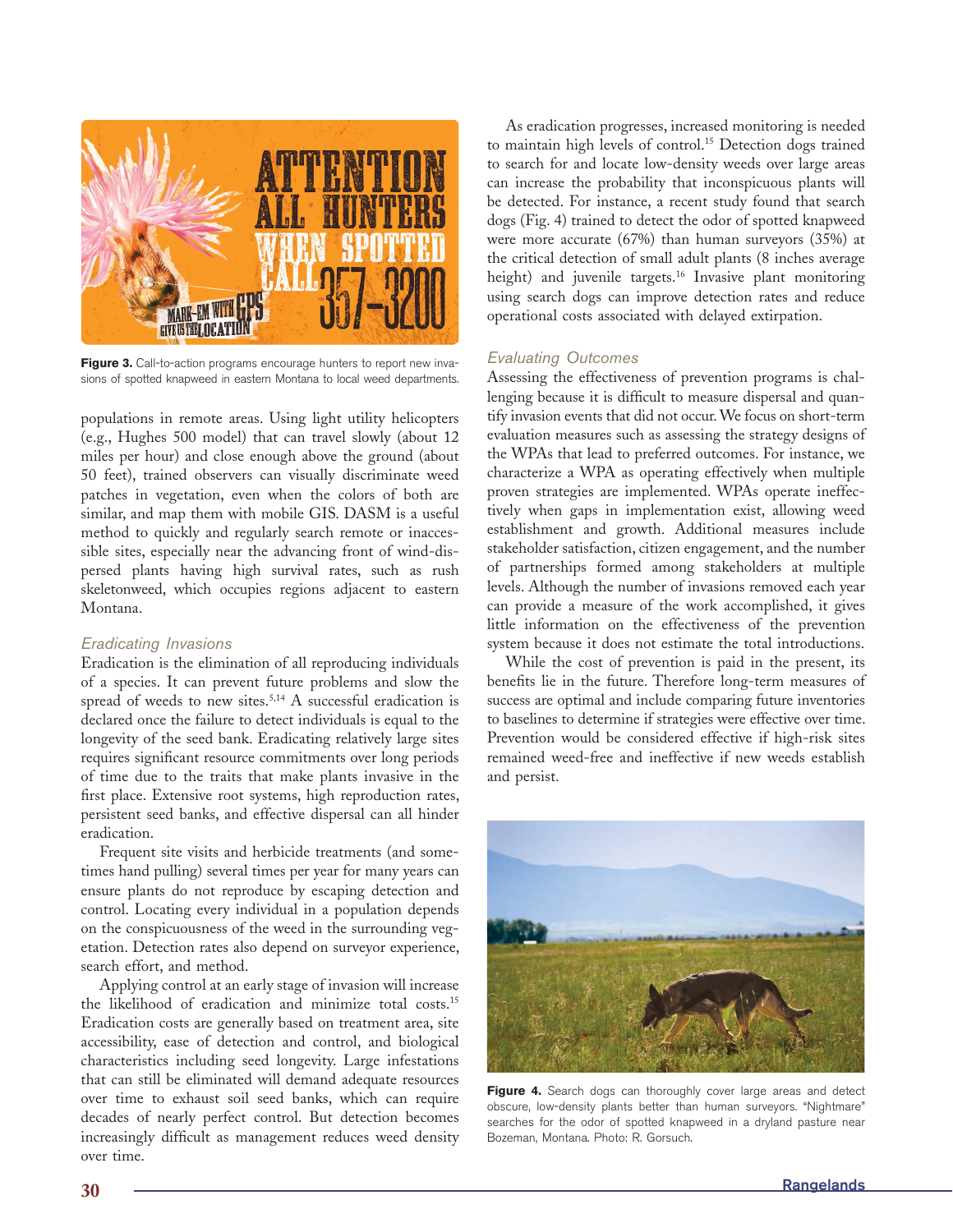

Figure 3. Call-to-action programs encourage hunters to report new invasions of spotted knapweed in eastern Montana to local weed departments.

populations in remote areas. Using light utility helicopters (e.g., Hughes 500 model) that can travel slowly (about 12 miles per hour) and close enough above the ground (about 50 feet), trained observers can visually discriminate weed patches in vegetation, even when the colors of both are similar, and map them with mobile GIS. DASM is a useful method to quickly and regularly search remote or inaccessible sites, especially near the advancing front of wind-dispersed plants having high survival rates, such as rush skeletonweed, which occupies regions adjacent to eastern Montana.

#### *Eradicating Invasions*

Eradication is the elimination of all reproducing individuals of a species. It can prevent future problems and slow the spread of weeds to new sites.<sup>5,14</sup> A successful eradication is declared once the failure to detect individuals is equal to the longevity of the seed bank. Eradicating relatively large sites requires significant resource commitments over long periods of time due to the traits that make plants invasive in the first place. Extensive root systems, high reproduction rates, persistent seed banks, and effective dispersal can all hinder eradication.

Frequent site visits and herbicide treatments (and sometimes hand pulling) several times per year for many years can ensure plants do not reproduce by escaping detection and control. Locating every individual in a population depends on the conspicuousness of the weed in the surrounding vegetation. Detection rates also depend on surveyor experience, search effort, and method.

Applying control at an early stage of invasion will increase the likelihood of eradication and minimize total costs.15 Eradication costs are generally based on treatment area, site accessibility, ease of detection and control, and biological characteristics including seed longevity. Large infestations that can still be eliminated will demand adequate resources over time to exhaust soil seed banks, which can require decades of nearly perfect control. But detection becomes increasingly difficult as management reduces weed density over time.

As eradication progresses, increased monitoring is needed to maintain high levels of control.<sup>15</sup> Detection dogs trained to search for and locate low-density weeds over large areas can increase the probability that inconspicuous plants will be detected. For instance, a recent study found that search dogs (Fig. 4) trained to detect the odor of spotted knapweed were more accurate (67%) than human surveyors (35%) at the critical detection of small adult plants (8 inches average height) and juvenile targets.<sup>16</sup> Invasive plant monitoring using search dogs can improve detection rates and reduce operational costs associated with delayed extirpation.

# *Evaluating Outcomes*

Assessing the effectiveness of prevention programs is challenging because it is difficult to measure dispersal and quantify invasion events that did not occur. We focus on short-term evaluation measures such as assessing the strategy designs of the WPAs that lead to preferred outcomes. For instance, we characterize a WPA as operating effectively when multiple proven strategies are implemented. WPAs operate ineffectively when gaps in implementation exist, allowing weed establishment and growth. Additional measures include stakeholder satisfaction, citizen engagement, and the number of partnerships formed among stakeholders at multiple levels. Although the number of invasions removed each year can provide a measure of the work accomplished, it gives little information on the effectiveness of the prevention system because it does not estimate the total introductions.

While the cost of prevention is paid in the present, its benefits lie in the future. Therefore long-term measures of success are optimal and include comparing future inventories to baselines to determine if strategies were effective over time. Prevention would be considered effective if high-risk sites remained weed-free and ineffective if new weeds establish and persist.



Figure 4. Search dogs can thoroughly cover large areas and detect obscure, low-density plants better than human surveyors. "Nightmare" searches for the odor of spotted knapweed in a dryland pasture near Bozeman, Montana. Photo: R. Gorsuch.